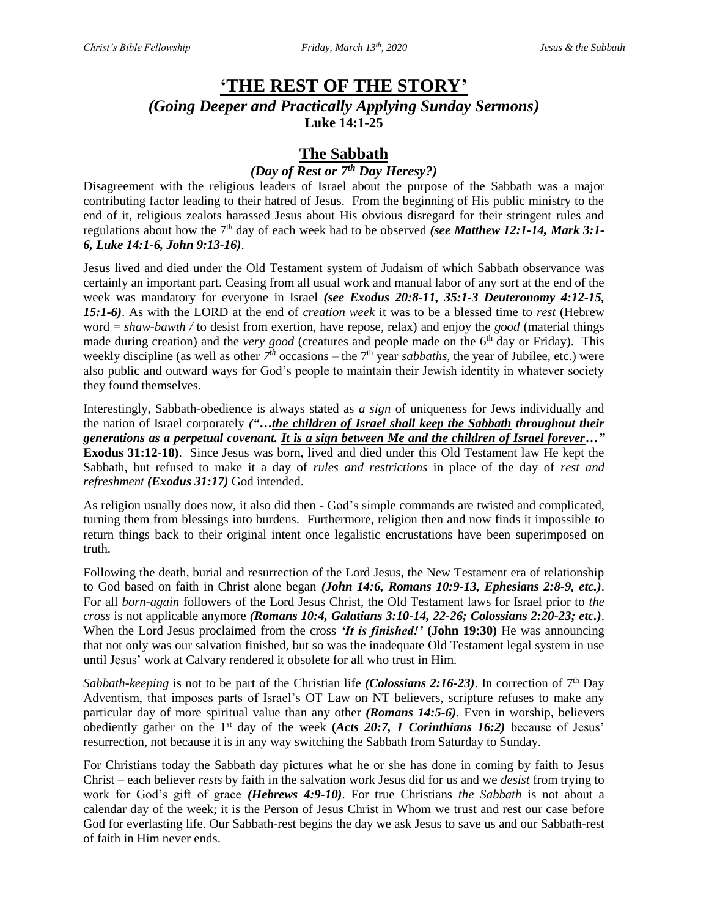# **'THE REST OF THE STORY'** *(Going Deeper and Practically Applying Sunday Sermons)* **Luke 14:1-25**

## **The Sabbath**

## *(Day of Rest or 7th Day Heresy?)*

Disagreement with the religious leaders of Israel about the purpose of the Sabbath was a major contributing factor leading to their hatred of Jesus. From the beginning of His public ministry to the end of it, religious zealots harassed Jesus about His obvious disregard for their stringent rules and regulations about how the 7<sup>th</sup> day of each week had to be observed *(see Matthew 12:1-14, Mark 3:1-6, Luke 14:1-6, John 9:13-16)*.

Jesus lived and died under the Old Testament system of Judaism of which Sabbath observance was certainly an important part. Ceasing from all usual work and manual labor of any sort at the end of the week was mandatory for everyone in Israel *(see Exodus 20:8-11, 35:1-3 Deuteronomy 4:12-15, 15:1-6)*. As with the LORD at the end of *creation week* it was to be a blessed time to *rest* (Hebrew word = *shaw-bawth /* to desist from exertion, have repose, relax) and enjoy the *good* (material things made during creation) and the *very good* (creatures and people made on the 6<sup>th</sup> day or Friday). This weekly discipline (as well as other  $7<sup>th</sup>$  occasions – the  $7<sup>th</sup>$  year *sabbaths*, the year of Jubilee, etc.) were also public and outward ways for God's people to maintain their Jewish identity in whatever society they found themselves.

Interestingly, Sabbath-obedience is always stated as *a sign* of uniqueness for Jews individually and the nation of Israel corporately *("…the children of Israel shall keep the Sabbath throughout their generations as a perpetual covenant. It is a sign between Me and the children of Israel forever…"*  **Exodus 31:12-18)**. Since Jesus was born, lived and died under this Old Testament law He kept the Sabbath, but refused to make it a day of *rules and restrictions* in place of the day of *rest and refreshment (Exodus 31:17)* God intended.

As religion usually does now, it also did then - God's simple commands are twisted and complicated, turning them from blessings into burdens. Furthermore, religion then and now finds it impossible to return things back to their original intent once legalistic encrustations have been superimposed on truth.

Following the death, burial and resurrection of the Lord Jesus, the New Testament era of relationship to God based on faith in Christ alone began *(John 14:6, Romans 10:9-13, Ephesians 2:8-9, etc.)*. For all *born-again* followers of the Lord Jesus Christ, the Old Testament laws for Israel prior to *the cross* is not applicable anymore *(Romans 10:4, Galatians 3:10-14, 22-26; Colossians 2:20-23; etc.)*. When the Lord Jesus proclaimed from the cross *'It is finished!'* **(John 19:30)** He was announcing that not only was our salvation finished, but so was the inadequate Old Testament legal system in use until Jesus' work at Calvary rendered it obsolete for all who trust in Him.

Sabbath-keeping is not to be part of the Christian life *(Colossians 2:16-23)*. In correction of 7<sup>th</sup> Day Adventism, that imposes parts of Israel's OT Law on NT believers, scripture refuses to make any particular day of more spiritual value than any other *(Romans 14:5-6)*. Even in worship, believers obediently gather on the 1st day of the week **(***Acts 20:7, 1 Corinthians 16:2)* because of Jesus' resurrection, not because it is in any way switching the Sabbath from Saturday to Sunday.

For Christians today the Sabbath day pictures what he or she has done in coming by faith to Jesus Christ – each believer *rests* by faith in the salvation work Jesus did for us and we *desist* from trying to work for God's gift of grace *(Hebrews 4:9-10)*. For true Christians *the Sabbath* is not about a calendar day of the week; it is the Person of Jesus Christ in Whom we trust and rest our case before God for everlasting life. Our Sabbath-rest begins the day we ask Jesus to save us and our Sabbath-rest of faith in Him never ends.